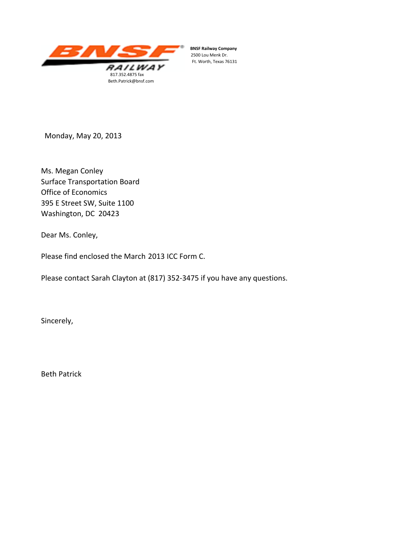

 $BNSF$  Railway Company 2500 Lou Menk Dr. Ft. Worth, Texas 76131

Monday, May 20, 2013

Ms. Megan Conley Surface Transportation Board Office of Economics 395 E Street SW, Suite 1100 Washington, DC 20423

Dear Ms. Conley,

Please find enclosed the March 2013 ICC Form C.

Please contact Sarah Clayton at (817) 352‐3475 if you have any questions.

Sincerely,

Beth Patrick